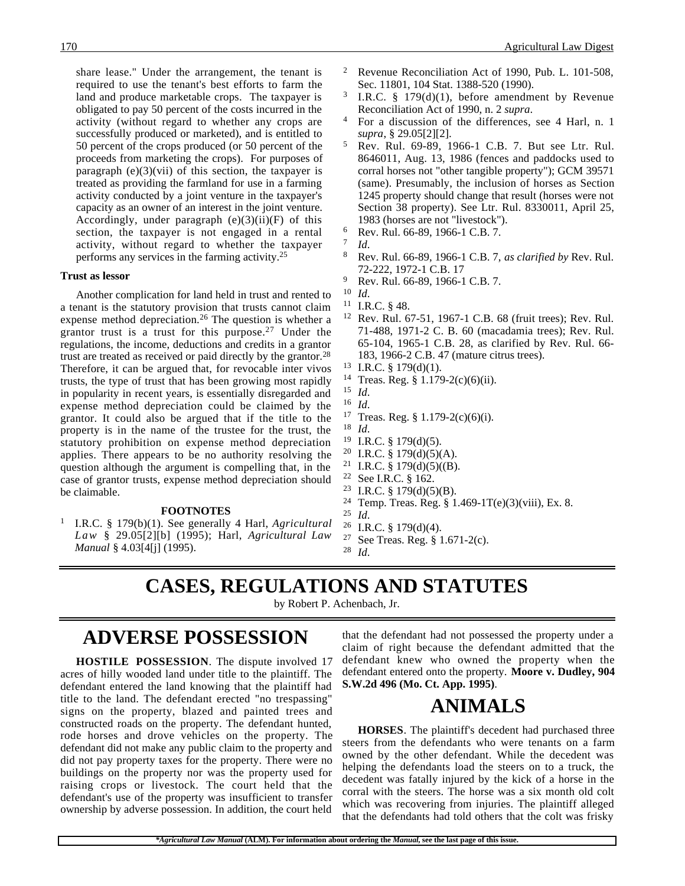share lease." Under the arrangement, the tenant is required to use the tenant's best efforts to farm the land and produce marketable crops. The taxpayer is obligated to pay 50 percent of the costs incurred in the activity (without regard to whether any crops are successfully produced or marketed), and is entitled to 50 percent of the crops produced (or 50 percent of the proceeds from marketing the crops). For purposes of paragraph  $(e)(3)(\n{\text{vii}})$  of this section, the taxpayer is treated as providing the farmland for use in a farming activity conducted by a joint venture in the taxpayer's capacity as an owner of an interest in the joint venture. Accordingly, under paragraph  $(e)(3)(ii)(F)$  of this section, the taxpayer is not engaged in a rental activity, without regard to whether the taxpayer performs any services in the farming activity.25

### **Trust as lessor**

Another complication for land held in trust and rented to a tenant is the statutory provision that trusts cannot claim expense method depreciation.26 The question is whether a grantor trust is a trust for this purpose.27 Under the regulations, the income, deductions and credits in a grantor trust are treated as received or paid directly by the grantor.28 Therefore, it can be argued that, for revocable inter vivos trusts, the type of trust that has been growing most rapidly in popularity in recent years, is essentially disregarded and expense method depreciation could be claimed by the grantor. It could also be argued that if the title to the property is in the name of the trustee for the trust, the statutory prohibition on expense method depreciation applies. There appears to be no authority resolving the question although the argument is compelling that, in the case of grantor trusts, expense method depreciation should be claimable.

#### **FOOTNOTES**

<sup>1</sup> I.R.C. § 179(b)(1). See generally 4 Harl, *Agricultural Law* § 29.05[2][b] (1995); Harl, *Agricultural Law Manual* § 4.03[4[j] (1995).

- 170 Agricultural Law Digest
	- <sup>2</sup> Revenue Reconciliation Act of 1990, Pub. L. 101-508, Sec. 11801, 104 Stat. 1388-520 (1990).
	- <sup>3</sup> I.R.C. § 179 $(d)(1)$ , before amendment by Revenue Reconciliation Act of 1990, n. 2 *supra*.
	- <sup>4</sup> For a discussion of the differences, see 4 Harl, n. 1 *supra*, § 29.05[2][2].
	- <sup>5</sup> Rev. Rul. 69-89, 1966-1 C.B. 7. But see Ltr. Rul. 8646011, Aug. 13, 1986 (fences and paddocks used to corral horses not "other tangible property"); GCM 39571 (same). Presumably, the inclusion of horses as Section 1245 property should change that result (horses were not Section 38 property). See Ltr. Rul. 8330011, April 25, 1983 (horses are not "livestock").
	- $^{6}$  Rev. Rul. 66-89, 1966-1 C.B. 7.
	- $\frac{7}{8}$  *Id.* 
		- <sup>8</sup> Rev. Rul. 66-89, 1966-1 C.B. 7, *as clarified by* Rev. Rul. 72-222, 1972-1 C.B. 17
	- $^{9}$  Rev. Rul. 66-89, 1966-1 C.B. 7.<br><sup>10</sup> Id
	- <sup>10</sup> *Id*.
	- <sup>11</sup> I.R.C. § 48.
	- <sup>12</sup> Rev. Rul. 67-51, 1967-1 C.B. 68 (fruit trees); Rev. Rul. 71-488, 1971-2 C. B. 60 (macadamia trees); Rev. Rul. 65-104, 1965-1 C.B. 28, as clarified by Rev. Rul. 66- 183, 1966-2 C.B. 47 (mature citrus trees).
	- <sup>13</sup> I.R.C. § 179(d)(1).
	- <sup>14</sup> Treas. Reg. § 1.179-2(c)(6)(ii).
	- <sup>15</sup> *Id*.
	- <sup>16</sup> *Id*.
	- <sup>17</sup> Treas. Reg. § 1.179-2(c)(6)(i).
	- <sup>18</sup> *Id*.
	- <sup>19</sup> I.R.C. § 179(d)(5). <sup>20</sup> I.R.C. § 179(d)(5)(A).
	- <sup>21</sup> I.R.C. § 179(d)(5)((B).
	-
	- <sup>22</sup> See I.R.C. § 162.<br><sup>23</sup> I.R.C. § 179(d)(5)
	- <sup>23</sup> I.R.C. § 179(d)(5)(B).<br><sup>24</sup> Temp Treas, Reg. § 1 Temp. Treas. Reg. § 1.469-1T(e)(3)(viii), Ex. 8.
	- $\frac{25}{26}$  *Id.*
	- <sup>26</sup> I.R.C. § 179(d)(4).<br><sup>27</sup> See Treas Reg. 8.1
	- See Treas. Reg. § 1.671-2(c).
	- <sup>28</sup> *Id*.

### **CASES, REGULATIONS AND STATUTES**

by Robert P. Achenbach, Jr.

# **ADVERSE POSSESSION**

**HOSTILE POSSESSION**. The dispute involved 17 acres of hilly wooded land under title to the plaintiff. The defendant entered the land knowing that the plaintiff had title to the land. The defendant erected "no trespassing" signs on the property, blazed and painted trees and constructed roads on the property. The defendant hunted, rode horses and drove vehicles on the property. The defendant did not make any public claim to the property and did not pay property taxes for the property. There were no buildings on the property nor was the property used for raising crops or livestock. The court held that the defendant's use of the property was insufficient to transfer ownership by adverse possession. In addition, the court held

that the defendant had not possessed the property under a claim of right because the defendant admitted that the defendant knew who owned the property when the defendant entered onto the property. **Moore v. Dudley, 904 S.W.2d 496 (Mo. Ct. App. 1995)**.

# **ANIMALS**

**HORSES**. The plaintiff's decedent had purchased three steers from the defendants who were tenants on a farm owned by the other defendant. While the decedent was helping the defendants load the steers on to a truck, the decedent was fatally injured by the kick of a horse in the corral with the steers. The horse was a six month old colt which was recovering from injuries. The plaintiff alleged that the defendants had told others that the colt was frisky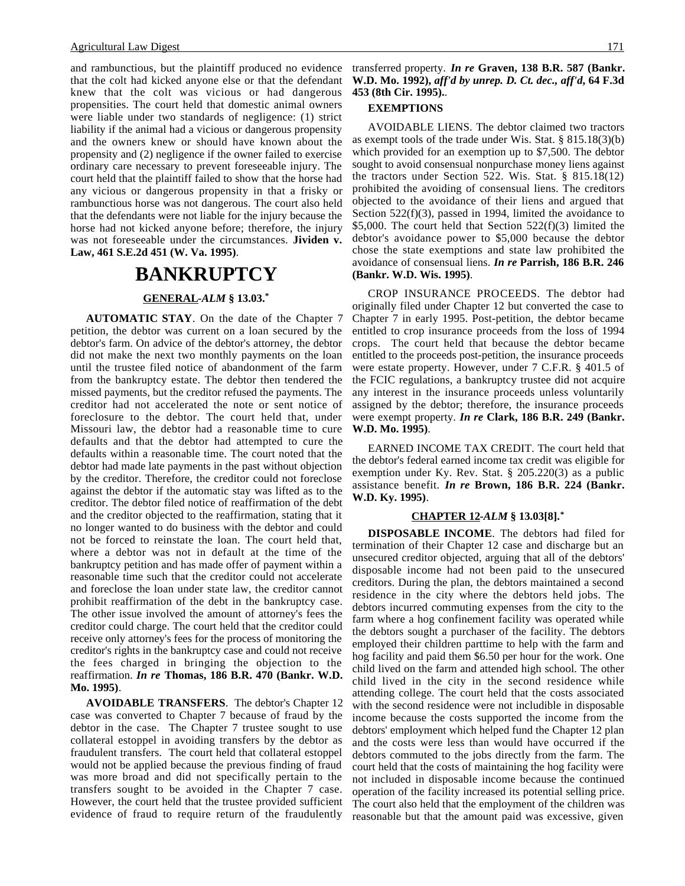and rambunctious, but the plaintiff produced no evidence that the colt had kicked anyone else or that the defendant knew that the colt was vicious or had dangerous propensities. The court held that domestic animal owners were liable under two standards of negligence: (1) strict liability if the animal had a vicious or dangerous propensity and the owners knew or should have known about the propensity and (2) negligence if the owner failed to exercise ordinary care necessary to prevent foreseeable injury. The court held that the plaintiff failed to show that the horse had any vicious or dangerous propensity in that a frisky or rambunctious horse was not dangerous. The court also held that the defendants were not liable for the injury because the horse had not kicked anyone before; therefore, the injury was not foreseeable under the circumstances. **Jividen v. Law, 461 S.E.2d 451 (W. Va. 1995)**.

### **BANKRUPTCY**

### **GENERAL -***ALM* **§ 13.03.\***

**AUTOMATIC STAY**. On the date of the Chapter 7 petition, the debtor was current on a loan secured by the debtor's farm. On advice of the debtor's attorney, the debtor did not make the next two monthly payments on the loan until the trustee filed notice of abandonment of the farm from the bankruptcy estate. The debtor then tendered the missed payments, but the creditor refused the payments. The creditor had not accelerated the note or sent notice of foreclosure to the debtor. The court held that, under Missouri law, the debtor had a reasonable time to cure defaults and that the debtor had attempted to cure the defaults within a reasonable time. The court noted that the debtor had made late payments in the past without objection by the creditor. Therefore, the creditor could not foreclose against the debtor if the automatic stay was lifted as to the creditor. The debtor filed notice of reaffirmation of the debt and the creditor objected to the reaffirmation, stating that it no longer wanted to do business with the debtor and could not be forced to reinstate the loan. The court held that, where a debtor was not in default at the time of the bankruptcy petition and has made offer of payment within a reasonable time such that the creditor could not accelerate and foreclose the loan under state law, the creditor cannot prohibit reaffirmation of the debt in the bankruptcy case. The other issue involved the amount of attorney's fees the creditor could charge. The court held that the creditor could receive only attorney's fees for the process of monitoring the creditor's rights in the bankruptcy case and could not receive the fees charged in bringing the objection to the reaffirmation. *In re* **Thomas, 186 B.R. 470 (Bankr. W.D. Mo. 1995)**.

**AVOIDABLE TRANSFERS**. The debtor's Chapter 12 case was converted to Chapter 7 because of fraud by the debtor in the case. The Chapter 7 trustee sought to use collateral estoppel in avoiding transfers by the debtor as fraudulent transfers. The court held that collateral estoppel would not be applied because the previous finding of fraud was more broad and did not specifically pertain to the transfers sought to be avoided in the Chapter 7 case. However, the court held that the trustee provided sufficient evidence of fraud to require return of the fraudulently transferred property. *In re* **Graven, 138 B.R. 587 (Bankr. W.D. Mo. 1992),** *aff'd by unrep. D. Ct. dec., aff'd***, 64 F.3d 453 (8th Cir. 1995).**.

#### **EXEMPTIONS**

AVOIDABLE LIENS. The debtor claimed two tractors as exempt tools of the trade under Wis. Stat. § 815.18(3)(b) which provided for an exemption up to \$7,500. The debtor sought to avoid consensual nonpurchase money liens against the tractors under Section 522. Wis. Stat. § 815.18(12) prohibited the avoiding of consensual liens. The creditors objected to the avoidance of their liens and argued that Section 522(f)(3), passed in 1994, limited the avoidance to \$5,000. The court held that Section  $522(f)(3)$  limited the debtor's avoidance power to \$5,000 because the debtor chose the state exemptions and state law prohibited the avoidance of consensual liens. *In re* **Parrish, 186 B.R. 246 (Bankr. W.D. Wis. 1995)**.

CROP INSURANCE PROCEEDS. The debtor had originally filed under Chapter 12 but converted the case to Chapter 7 in early 1995. Post-petition, the debtor became entitled to crop insurance proceeds from the loss of 1994 crops. The court held that because the debtor became entitled to the proceeds post-petition, the insurance proceeds were estate property. However, under 7 C.F.R. § 401.5 of the FCIC regulations, a bankruptcy trustee did not acquire any interest in the insurance proceeds unless voluntarily assigned by the debtor; therefore, the insurance proceeds were exempt property. *In re* **Clark, 186 B.R. 249 (Bankr. W.D. Mo. 1995)**.

EARNED INCOME TAX CREDIT. The court held that the debtor's federal earned income tax credit was eligible for exemption under Ky. Rev. Stat. § 205.220(3) as a public assistance benefit. *In re* **Brown, 186 B.R. 224 (Bankr. W.D. Ky. 1995)**.

### **CHAPTER 12 -***ALM* **§ 13.03[8].\***

**DISPOSABLE INCOME**. The debtors had filed for termination of their Chapter 12 case and discharge but an unsecured creditor objected, arguing that all of the debtors' disposable income had not been paid to the unsecured creditors. During the plan, the debtors maintained a second residence in the city where the debtors held jobs. The debtors incurred commuting expenses from the city to the farm where a hog confinement facility was operated while the debtors sought a purchaser of the facility. The debtors employed their children parttime to help with the farm and hog facility and paid them \$6.50 per hour for the work. One child lived on the farm and attended high school. The other child lived in the city in the second residence while attending college. The court held that the costs associated with the second residence were not includible in disposable income because the costs supported the income from the debtors' employment which helped fund the Chapter 12 plan and the costs were less than would have occurred if the debtors commuted to the jobs directly from the farm. The court held that the costs of maintaining the hog facility were not included in disposable income because the continued operation of the facility increased its potential selling price. The court also held that the employment of the children was reasonable but that the amount paid was excessive, given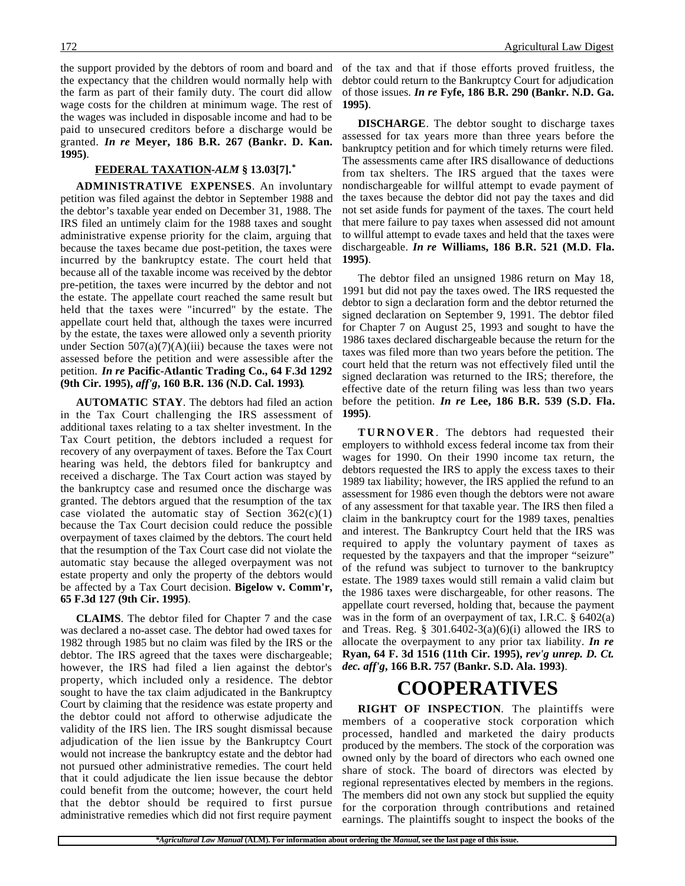the support provided by the debtors of room and board and the expectancy that the children would normally help with the farm as part of their family duty. The court did allow wage costs for the children at minimum wage. The rest of the wages was included in disposable income and had to be paid to unsecured creditors before a discharge would be granted. *In re* **Meyer, 186 B.R. 267 (Bankr. D. Kan. 1995)**.

#### **FEDERAL TAXATION -***ALM* **§ 13.03[7].\***

**ADMINISTRATIVE EXPENSES**. An involuntary petition was filed against the debtor in September 1988 and the debtor's taxable year ended on December 31, 1988. The IRS filed an untimely claim for the 1988 taxes and sought administrative expense priority for the claim, arguing that because the taxes became due post-petition, the taxes were incurred by the bankruptcy estate. The court held that because all of the taxable income was received by the debtor pre-petition, the taxes were incurred by the debtor and not the estate. The appellate court reached the same result but held that the taxes were "incurred" by the estate. The appellate court held that, although the taxes were incurred by the estate, the taxes were allowed only a seventh priority under Section  $507(a)(7)(A)(iii)$  because the taxes were not assessed before the petition and were assessible after the petition. *In re* **Pacific-Atlantic Trading Co., 64 F.3d 1292 (9th Cir. 1995),** *aff'g***, 160 B.R. 136 (N.D. Cal. 1993)**.

**AUTOMATIC STAY**. The debtors had filed an action in the Tax Court challenging the IRS assessment of additional taxes relating to a tax shelter investment. In the Tax Court petition, the debtors included a request for recovery of any overpayment of taxes. Before the Tax Court hearing was held, the debtors filed for bankruptcy and received a discharge. The Tax Court action was stayed by the bankruptcy case and resumed once the discharge was granted. The debtors argued that the resumption of the tax case violated the automatic stay of Section  $362(c)(1)$ because the Tax Court decision could reduce the possible overpayment of taxes claimed by the debtors. The court held that the resumption of the Tax Court case did not violate the automatic stay because the alleged overpayment was not estate property and only the property of the debtors would be affected by a Tax Court decision. **Bigelow v. Comm'r, 65 F.3d 127 (9th Cir. 1995)**.

**CLAIMS**. The debtor filed for Chapter 7 and the case was declared a no-asset case. The debtor had owed taxes for 1982 through 1985 but no claim was filed by the IRS or the debtor. The IRS agreed that the taxes were dischargeable; however, the IRS had filed a lien against the debtor's property, which included only a residence. The debtor sought to have the tax claim adjudicated in the Bankruptcy Court by claiming that the residence was estate property and the debtor could not afford to otherwise adjudicate the validity of the IRS lien. The IRS sought dismissal because adjudication of the lien issue by the Bankruptcy Court would not increase the bankruptcy estate and the debtor had not pursued other administrative remedies. The court held that it could adjudicate the lien issue because the debtor could benefit from the outcome; however, the court held that the debtor should be required to first pursue administrative remedies which did not first require payment

of the tax and that if those efforts proved fruitless, the debtor could return to the Bankruptcy Court for adjudication of those issues. *In re* **Fyfe, 186 B.R. 290 (Bankr. N.D. Ga. 1995)**.

**DISCHARGE**. The debtor sought to discharge taxes assessed for tax years more than three years before the bankruptcy petition and for which timely returns were filed. The assessments came after IRS disallowance of deductions from tax shelters. The IRS argued that the taxes were nondischargeable for willful attempt to evade payment of the taxes because the debtor did not pay the taxes and did not set aside funds for payment of the taxes. The court held that mere failure to pay taxes when assessed did not amount to willful attempt to evade taxes and held that the taxes were dischargeable. *In re* **Williams, 186 B.R. 521 (M.D. Fla. 1995)**.

The debtor filed an unsigned 1986 return on May 18, 1991 but did not pay the taxes owed. The IRS requested the debtor to sign a declaration form and the debtor returned the signed declaration on September 9, 1991. The debtor filed for Chapter 7 on August 25, 1993 and sought to have the 1986 taxes declared dischargeable because the return for the taxes was filed more than two years before the petition. The court held that the return was not effectively filed until the signed declaration was returned to the IRS; therefore, the effective date of the return filing was less than two years before the petition. *In re* **Lee, 186 B.R. 539 (S.D. Fla. 1995)**.

**TURNOVER** . The debtors had requested their employers to withhold excess federal income tax from their wages for 1990. On their 1990 income tax return, the debtors requested the IRS to apply the excess taxes to their 1989 tax liability; however, the IRS applied the refund to an assessment for 1986 even though the debtors were not aware of any assessment for that taxable year. The IRS then filed a claim in the bankruptcy court for the 1989 taxes, penalties and interest. The Bankruptcy Court held that the IRS was required to apply the voluntary payment of taxes as requested by the taxpayers and that the improper "seizure" of the refund was subject to turnover to the bankruptcy estate. The 1989 taxes would still remain a valid claim but the 1986 taxes were dischargeable, for other reasons. The appellate court reversed, holding that, because the payment was in the form of an overpayment of tax, I.R.C. § 6402(a) and Treas. Reg. § 301.6402-3(a)(6)(i) allowed the IRS to allocate the overpayment to any prior tax liability. *In re* **Ryan, 64 F. 3d 1516 (11th Cir. 1995),** *rev'g unrep. D. Ct. dec. aff'g***, 166 B.R. 757 (Bankr. S.D. Ala. 1993)**.

## **COOPERATIVES**

**RIGHT OF INSPECTION**. The plaintiffs were members of a cooperative stock corporation which processed, handled and marketed the dairy products produced by the members. The stock of the corporation was owned only by the board of directors who each owned one share of stock. The board of directors was elected by regional representatives elected by members in the regions. The members did not own any stock but supplied the equity for the corporation through contributions and retained earnings. The plaintiffs sought to inspect the books of the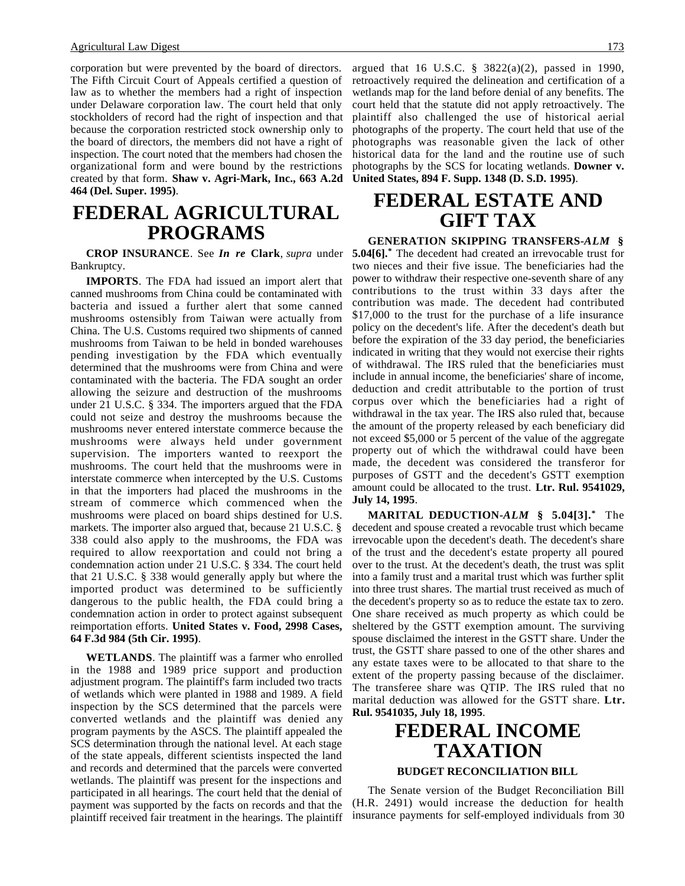corporation but were prevented by the board of directors. The Fifth Circuit Court of Appeals certified a question of law as to whether the members had a right of inspection under Delaware corporation law. The court held that only stockholders of record had the right of inspection and that because the corporation restricted stock ownership only to the board of directors, the members did not have a right of inspection. The court noted that the members had chosen the organizational form and were bound by the restrictions created by that form. **Shaw v. Agri-Mark, Inc., 663 A.2d 464 (Del. Super. 1995)**.

## **FEDERAL AGRICULTURAL PROGRAMS**

**CROP INSURANCE**. See *In re* **Clark**, *supra* under Bankruptcy.

**IMPORTS**. The FDA had issued an import alert that canned mushrooms from China could be contaminated with bacteria and issued a further alert that some canned mushrooms ostensibly from Taiwan were actually from China. The U.S. Customs required two shipments of canned mushrooms from Taiwan to be held in bonded warehouses pending investigation by the FDA which eventually determined that the mushrooms were from China and were contaminated with the bacteria. The FDA sought an order allowing the seizure and destruction of the mushrooms under 21 U.S.C. § 334. The importers argued that the FDA could not seize and destroy the mushrooms because the mushrooms never entered interstate commerce because the mushrooms were always held under government supervision. The importers wanted to reexport the mushrooms. The court held that the mushrooms were in interstate commerce when intercepted by the U.S. Customs in that the importers had placed the mushrooms in the stream of commerce which commenced when the mushrooms were placed on board ships destined for U.S. markets. The importer also argued that, because 21 U.S.C. § 338 could also apply to the mushrooms, the FDA was required to allow reexportation and could not bring a condemnation action under 21 U.S.C. § 334. The court held that 21 U.S.C. § 338 would generally apply but where the imported product was determined to be sufficiently dangerous to the public health, the FDA could bring a condemnation action in order to protect against subsequent reimportation efforts. **United States v. Food, 2998 Cases, 64 F.3d 984 (5th Cir. 1995)**.

**WETLANDS**. The plaintiff was a farmer who enrolled in the 1988 and 1989 price support and production adjustment program. The plaintiff's farm included two tracts of wetlands which were planted in 1988 and 1989. A field inspection by the SCS determined that the parcels were converted wetlands and the plaintiff was denied any program payments by the ASCS. The plaintiff appealed the SCS determination through the national level. At each stage of the state appeals, different scientists inspected the land and records and determined that the parcels were converted wetlands. The plaintiff was present for the inspections and participated in all hearings. The court held that the denial of payment was supported by the facts on records and that the plaintiff received fair treatment in the hearings. The plaintiff argued that 16 U.S.C. § 3822(a)(2), passed in 1990, retroactively required the delineation and certification of a wetlands map for the land before denial of any benefits. The court held that the statute did not apply retroactively. The plaintiff also challenged the use of historical aerial photographs of the property. The court held that use of the photographs was reasonable given the lack of other historical data for the land and the routine use of such photographs by the SCS for locating wetlands. **Downer v. United States, 894 F. Supp. 1348 (D. S.D. 1995)**.

# **FEDERAL ESTATE AND GIFT TAX**

**GENERATION SKIPPING TRANSFERS-***ALM* **§**

**5.04[6].\*** The decedent had created an irrevocable trust for two nieces and their five issue. The beneficiaries had the power to withdraw their respective one-seventh share of any contributions to the trust within 33 days after the contribution was made. The decedent had contributed \$17,000 to the trust for the purchase of a life insurance policy on the decedent's life. After the decedent's death but before the expiration of the 33 day period, the beneficiaries indicated in writing that they would not exercise their rights of withdrawal. The IRS ruled that the beneficiaries must include in annual income, the beneficiaries' share of income, deduction and credit attributable to the portion of trust corpus over which the beneficiaries had a right of withdrawal in the tax year. The IRS also ruled that, because the amount of the property released by each beneficiary did not exceed \$5,000 or 5 percent of the value of the aggregate property out of which the withdrawal could have been made, the decedent was considered the transferor for purposes of GSTT and the decedent's GSTT exemption amount could be allocated to the trust. **Ltr. Rul. 9541029, July 14, 1995**.

**MARITAL DEDUCTION-***ALM* **§ 5.04[3].\*** The decedent and spouse created a revocable trust which became irrevocable upon the decedent's death. The decedent's share of the trust and the decedent's estate property all poured over to the trust. At the decedent's death, the trust was split into a family trust and a marital trust which was further split into three trust shares. The martial trust received as much of the decedent's property so as to reduce the estate tax to zero. One share received as much property as which could be sheltered by the GSTT exemption amount. The surviving spouse disclaimed the interest in the GSTT share. Under the trust, the GSTT share passed to one of the other shares and any estate taxes were to be allocated to that share to the extent of the property passing because of the disclaimer. The transferee share was QTIP. The IRS ruled that no marital deduction was allowed for the GSTT share. **Ltr. Rul. 9541035, July 18, 1995**.

# **FEDERAL INCOME TAXATION**

#### **BUDGET RECONCILIATION BILL**

The Senate version of the Budget Reconciliation Bill (H.R. 2491) would increase the deduction for health insurance payments for self-employed individuals from 30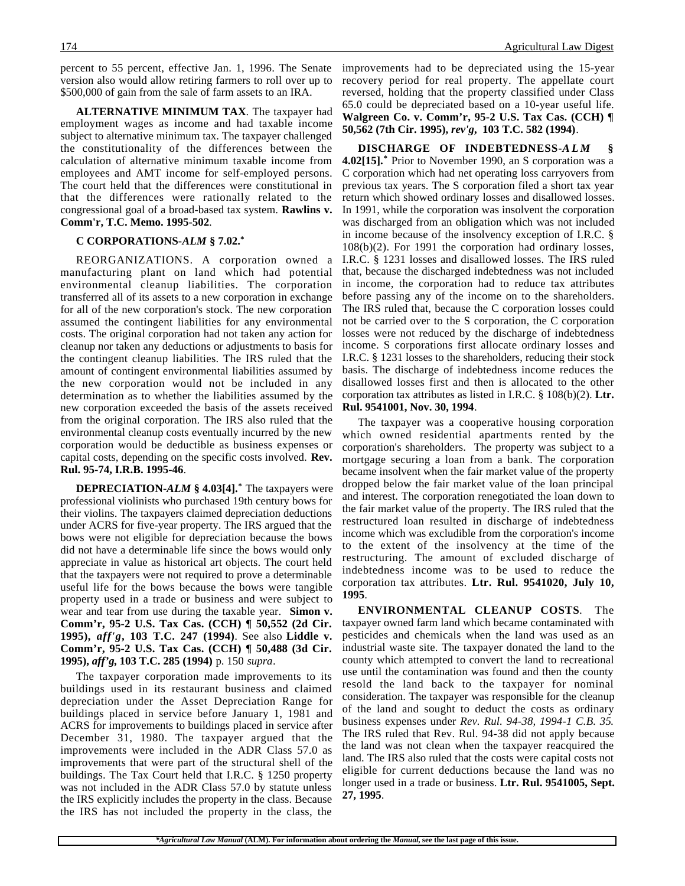percent to 55 percent, effective Jan. 1, 1996. The Senate version also would allow retiring farmers to roll over up to \$500,000 of gain from the sale of farm assets to an IRA.

**ALTERNATIVE MINIMUM TAX**. The taxpayer had employment wages as income and had taxable income subject to alternative minimum tax. The taxpayer challenged the constitutionality of the differences between the calculation of alternative minimum taxable income from employees and AMT income for self-employed persons. The court held that the differences were constitutional in that the differences were rationally related to the congressional goal of a broad-based tax system. **Rawlins v. Comm'r, T.C. Memo. 1995-502**.

#### **C CORPORATIONS-***ALM* **§ 7.02.\***

REORGANIZATIONS. A corporation owned a manufacturing plant on land which had potential environmental cleanup liabilities. The corporation transferred all of its assets to a new corporation in exchange for all of the new corporation's stock. The new corporation assumed the contingent liabilities for any environmental costs. The original corporation had not taken any action for cleanup nor taken any deductions or adjustments to basis for the contingent cleanup liabilities. The IRS ruled that the amount of contingent environmental liabilities assumed by the new corporation would not be included in any determination as to whether the liabilities assumed by the new corporation exceeded the basis of the assets received from the original corporation. The IRS also ruled that the environmental cleanup costs eventually incurred by the new corporation would be deductible as business expenses or capital costs, depending on the specific costs involved. **Rev. Rul. 95-74, I.R.B. 1995-46**.

**DEPRECIATION-***ALM* **§ 4.03[4].\*** The taxpayers were professional violinists who purchased 19th century bows for their violins. The taxpayers claimed depreciation deductions under ACRS for five-year property. The IRS argued that the bows were not eligible for depreciation because the bows did not have a determinable life since the bows would only appreciate in value as historical art objects. The court held that the taxpayers were not required to prove a determinable useful life for the bows because the bows were tangible property used in a trade or business and were subject to wear and tear from use during the taxable year. **Simon v. Comm'r, 95-2 U.S. Tax Cas. (CCH) ¶ 50,552 (2d Cir. 1995),** *aff'g***, 103 T.C. 247 (1994)**. See also **Liddle v. Comm'r, 95-2 U.S. Tax Cas. (CCH) ¶ 50,488 (3d Cir. 1995),** *aff'g***, 103 T.C. 285 (1994)** p. 150 *supra*.

The taxpayer corporation made improvements to its buildings used in its restaurant business and claimed depreciation under the Asset Depreciation Range for buildings placed in service before January 1, 1981 and ACRS for improvements to buildings placed in service after December 31, 1980. The taxpayer argued that the improvements were included in the ADR Class 57.0 as improvements that were part of the structural shell of the buildings. The Tax Court held that I.R.C. § 1250 property was not included in the ADR Class 57.0 by statute unless the IRS explicitly includes the property in the class. Because the IRS has not included the property in the class, the

improvements had to be depreciated using the 15-year recovery period for real property. The appellate court reversed, holding that the property classified under Class 65.0 could be depreciated based on a 10-year useful life. **Walgreen Co. v. Comm'r, 95-2 U.S. Tax Cas. (CCH) ¶ 50,562 (7th Cir. 1995),** *rev'g***, 103 T.C. 582 (1994)**.

**DISCHARGE OF INDEBTEDNESS-***ALM* **§ 4.02[15].\*** Prior to November 1990, an S corporation was a C corporation which had net operating loss carryovers from previous tax years. The S corporation filed a short tax year return which showed ordinary losses and disallowed losses. In 1991, while the corporation was insolvent the corporation was discharged from an obligation which was not included in income because of the insolvency exception of I.R.C. § 108(b)(2). For 1991 the corporation had ordinary losses, I.R.C. § 1231 losses and disallowed losses. The IRS ruled that, because the discharged indebtedness was not included in income, the corporation had to reduce tax attributes before passing any of the income on to the shareholders. The IRS ruled that, because the C corporation losses could not be carried over to the S corporation, the C corporation losses were not reduced by the discharge of indebtedness income. S corporations first allocate ordinary losses and I.R.C. § 1231 losses to the shareholders, reducing their stock basis. The discharge of indebtedness income reduces the disallowed losses first and then is allocated to the other corporation tax attributes as listed in I.R.C. § 108(b)(2). **Ltr. Rul. 9541001, Nov. 30, 1994**.

The taxpayer was a cooperative housing corporation which owned residential apartments rented by the corporation's shareholders. The property was subject to a mortgage securing a loan from a bank. The corporation became insolvent when the fair market value of the property dropped below the fair market value of the loan principal and interest. The corporation renegotiated the loan down to the fair market value of the property. The IRS ruled that the restructured loan resulted in discharge of indebtedness income which was excludible from the corporation's income to the extent of the insolvency at the time of the restructuring. The amount of excluded discharge of indebtedness income was to be used to reduce the corporation tax attributes. **Ltr. Rul. 9541020, July 10, 1995**.

**ENVIRONMENTAL CLEANUP COSTS**. The taxpayer owned farm land which became contaminated with pesticides and chemicals when the land was used as an industrial waste site. The taxpayer donated the land to the county which attempted to convert the land to recreational use until the contamination was found and then the county resold the land back to the taxpayer for nominal consideration. The taxpayer was responsible for the cleanup of the land and sought to deduct the costs as ordinary business expenses under *Rev. Rul. 94-38, 1994-1 C.B. 35*. The IRS ruled that Rev. Rul. 94-38 did not apply because the land was not clean when the taxpayer reacquired the land. The IRS also ruled that the costs were capital costs not eligible for current deductions because the land was no longer used in a trade or business. **Ltr. Rul. 9541005, Sept. 27, 1995**.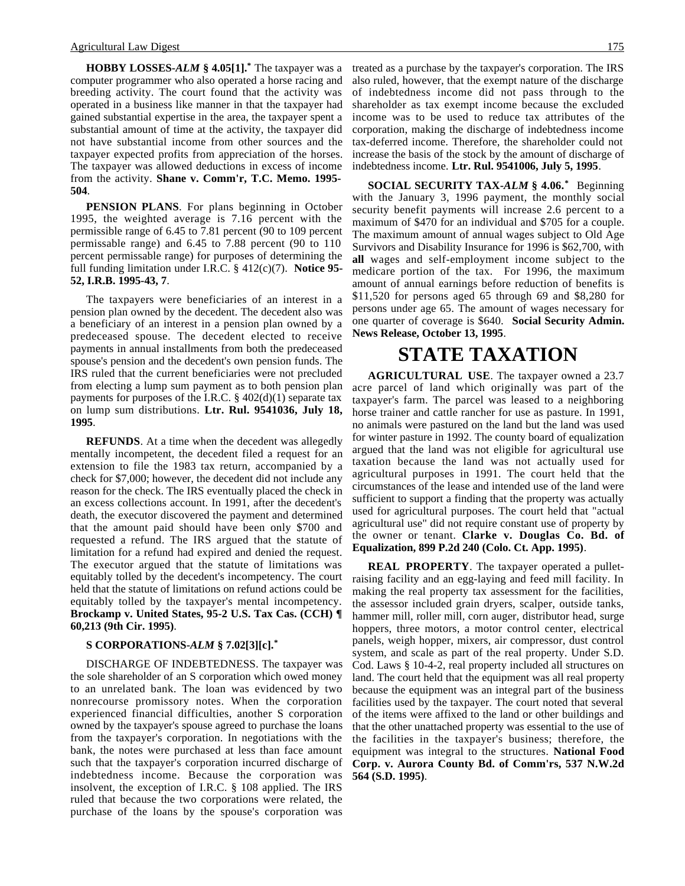**HOBBY LOSSES-***ALM* **§ 4.05[1].\*** The taxpayer was a computer programmer who also operated a horse racing and breeding activity. The court found that the activity was operated in a business like manner in that the taxpayer had gained substantial expertise in the area, the taxpayer spent a substantial amount of time at the activity, the taxpayer did not have substantial income from other sources and the taxpayer expected profits from appreciation of the horses. The taxpayer was allowed deductions in excess of income from the activity. **Shane v. Comm'r, T.C. Memo. 1995- 504**.

**PENSION PLANS**. For plans beginning in October 1995, the weighted average is 7.16 percent with the permissible range of 6.45 to 7.81 percent (90 to 109 percent permissable range) and 6.45 to 7.88 percent (90 to 110 percent permissable range) for purposes of determining the full funding limitation under I.R.C. § 412(c)(7). **Notice 95- 52, I.R.B. 1995-43, 7**.

The taxpayers were beneficiaries of an interest in a pension plan owned by the decedent. The decedent also was a beneficiary of an interest in a pension plan owned by a predeceased spouse. The decedent elected to receive payments in annual installments from both the predeceased spouse's pension and the decedent's own pension funds. The IRS ruled that the current beneficiaries were not precluded from electing a lump sum payment as to both pension plan payments for purposes of the I.R.C.  $\S$  402(d)(1) separate tax on lump sum distributions. **Ltr. Rul. 9541036, July 18, 1995**.

**REFUNDS**. At a time when the decedent was allegedly mentally incompetent, the decedent filed a request for an extension to file the 1983 tax return, accompanied by a check for \$7,000; however, the decedent did not include any reason for the check. The IRS eventually placed the check in an excess collections account. In 1991, after the decedent's death, the executor discovered the payment and determined that the amount paid should have been only \$700 and requested a refund. The IRS argued that the statute of limitation for a refund had expired and denied the request. The executor argued that the statute of limitations was equitably tolled by the decedent's incompetency. The court held that the statute of limitations on refund actions could be equitably tolled by the taxpayer's mental incompetency. **Brockamp v. United States, 95-2 U.S. Tax Cas. (CCH) ¶ 60,213 (9th Cir. 1995)**.

### **S CORPORATIONS-***ALM* **§ 7.02[3][c].\***

DISCHARGE OF INDEBTEDNESS. The taxpayer was the sole shareholder of an S corporation which owed money to an unrelated bank. The loan was evidenced by two nonrecourse promissory notes. When the corporation experienced financial difficulties, another S corporation owned by the taxpayer's spouse agreed to purchase the loans from the taxpayer's corporation. In negotiations with the bank, the notes were purchased at less than face amount such that the taxpayer's corporation incurred discharge of indebtedness income. Because the corporation was insolvent, the exception of I.R.C. § 108 applied. The IRS ruled that because the two corporations were related, the purchase of the loans by the spouse's corporation was

treated as a purchase by the taxpayer's corporation. The IRS also ruled, however, that the exempt nature of the discharge of indebtedness income did not pass through to the shareholder as tax exempt income because the excluded income was to be used to reduce tax attributes of the corporation, making the discharge of indebtedness income tax-deferred income. Therefore, the shareholder could not increase the basis of the stock by the amount of discharge of indebtedness income. **Ltr. Rul. 9541006, July 5, 1995**.

**SOCIAL SECURITY TAX-***ALM* **§ 4.06.\*** Beginning with the January 3, 1996 payment, the monthly social security benefit payments will increase 2.6 percent to a maximum of \$470 for an individual and \$705 for a couple. The maximum amount of annual wages subject to Old Age Survivors and Disability Insurance for 1996 is \$62,700, with **all** wages and self-employment income subject to the medicare portion of the tax. For 1996, the maximum amount of annual earnings before reduction of benefits is \$11,520 for persons aged 65 through 69 and \$8,280 for persons under age 65. The amount of wages necessary for one quarter of coverage is \$640. **Social Security Admin. News Release, October 13, 1995**.

# **STATE TAXATION**

**AGRICULTURAL USE**. The taxpayer owned a 23.7 acre parcel of land which originally was part of the taxpayer's farm. The parcel was leased to a neighboring horse trainer and cattle rancher for use as pasture. In 1991, no animals were pastured on the land but the land was used for winter pasture in 1992. The county board of equalization argued that the land was not eligible for agricultural use taxation because the land was not actually used for agricultural purposes in 1991. The court held that the circumstances of the lease and intended use of the land were sufficient to support a finding that the property was actually used for agricultural purposes. The court held that "actual agricultural use" did not require constant use of property by the owner or tenant. **Clarke v. Douglas Co. Bd. of Equalization, 899 P.2d 240 (Colo. Ct. App. 1995)**.

**REAL PROPERTY**. The taxpayer operated a pulletraising facility and an egg-laying and feed mill facility. In making the real property tax assessment for the facilities, the assessor included grain dryers, scalper, outside tanks, hammer mill, roller mill, corn auger, distributor head, surge hoppers, three motors, a motor control center, electrical panels, weigh hopper, mixers, air compressor, dust control system, and scale as part of the real property. Under S.D. Cod. Laws § 10-4-2, real property included all structures on land. The court held that the equipment was all real property because the equipment was an integral part of the business facilities used by the taxpayer. The court noted that several of the items were affixed to the land or other buildings and that the other unattached property was essential to the use of the facilities in the taxpayer's business; therefore, the equipment was integral to the structures. **National Food Corp. v. Aurora County Bd. of Comm'rs, 537 N.W.2d 564 (S.D. 1995)**.